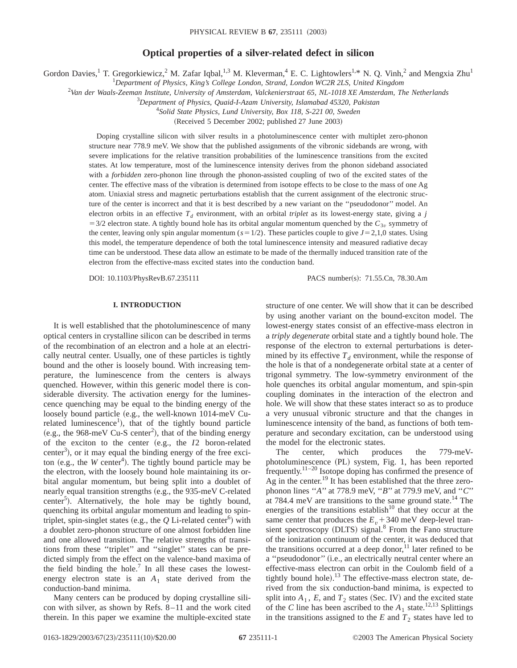# **Optical properties of a silver-related defect in silicon**

Gordon Davies,<sup>1</sup> T. Gregorkiewicz,<sup>2</sup> M. Zafar Iqbal,<sup>1,3</sup> M. Kleverman,<sup>4</sup> E. C. Lightowlers<sup>1,\*</sup> N. Q. Vinh,<sup>2</sup> and Mengxia Zhu<sup>1</sup>

1 *Department of Physics, King's College London, Strand, London WC2R 2LS, United Kingdom*

2 *Van der Waals-Zeeman Institute, University of Amsterdam, Valckenierstraat 65, NL-1018 XE Amsterdam, The Netherlands*

3 *Department of Physics, Quaid-I-Azam University, Islamabad 45320, Pakistan*

4 *Solid State Physics, Lund University, Box 118, S-221 00, Sweden*

(Received 5 December 2002; published 27 June 2003)

Doping crystalline silicon with silver results in a photoluminescence center with multiplet zero-phonon structure near 778.9 meV. We show that the published assignments of the vibronic sidebands are wrong, with severe implications for the relative transition probabilities of the luminescence transitions from the excited states. At low temperature, most of the luminescence intensity derives from the phonon sideband associated with a *forbidden* zero-phonon line through the phonon-assisted coupling of two of the excited states of the center. The effective mass of the vibration is determined from isotope effects to be close to the mass of one Ag atom. Uniaxial stress and magnetic perturbations establish that the current assignment of the electronic structure of the center is incorrect and that it is best described by a new variant on the ''pseudodonor'' model. An electron orbits in an effective  $T_d$  environment, with an orbital *triplet* as its lowest-energy state, giving a *j*  $=$  3/2 electron state. A tightly bound hole has its orbital angular momentum quenched by the  $C_{3v}$  symmetry of the center, leaving only spin angular momentum  $(s=1/2)$ . These particles couple to give  $J=2,1,0$  states. Using this model, the temperature dependence of both the total luminescence intensity and measured radiative decay time can be understood. These data allow an estimate to be made of the thermally induced transition rate of the electron from the effective-mass excited states into the conduction band.

DOI: 10.1103/PhysRevB.67.235111 PACS number(s): 71.55.Cn, 78.30.Am

## **I. INTRODUCTION**

It is well established that the photoluminescence of many optical centers in crystalline silicon can be described in terms of the recombination of an electron and a hole at an electrically neutral center. Usually, one of these particles is tightly bound and the other is loosely bound. With increasing temperature, the luminescence from the centers is always quenched. However, within this generic model there is considerable diversity. The activation energy for the luminescence quenching may be equal to the binding energy of the loosely bound particle  $(e.g., the well-known 1014-meV Cu$ related luminescence<sup>1</sup>), that of the tightly bound particle (e.g., the 968-meV Cu-S center<sup>2</sup>), that of the binding energy of the exciton to the center (e.g., the *I*2 boron-related center<sup>3</sup>), or it may equal the binding energy of the free exciton (e.g., the  $W$  center<sup>4</sup>). The tightly bound particle may be the electron, with the loosely bound hole maintaining its orbital angular momentum, but being split into a doublet of nearly equal transition strengths (e.g., the 935-meV C-related center<sup>5</sup>). Alternatively, the hole may be tightly bound, quenching its orbital angular momentum and leading to spintriplet, spin-singlet states (e.g., the  $Q$  Li-related center<sup>6</sup>) with a doublet zero-phonon structure of one almost forbidden line and one allowed transition. The relative strengths of transitions from these ''triplet'' and ''singlet'' states can be predicted simply from the effect on the valence-band maxima of the field binding the hole.<sup>7</sup> In all these cases the lowestenergy electron state is an  $A_1$  state derived from the conduction-band minima.

Many centers can be produced by doping crystalline silicon with silver, as shown by Refs. 8–11 and the work cited therein. In this paper we examine the multiple-excited state structure of one center. We will show that it can be described by using another variant on the bound-exciton model. The lowest-energy states consist of an effective-mass electron in a *triply degenerate* orbital state and a tightly bound hole. The response of the electron to external perturbations is determined by its effective  $T<sub>d</sub>$  environment, while the response of the hole is that of a nondegenerate orbital state at a center of trigonal symmetry. The low-symmetry environment of the hole quenches its orbital angular momentum, and spin-spin coupling dominates in the interaction of the electron and hole. We will show that these states interact so as to produce a very unusual vibronic structure and that the changes in luminescence intensity of the band, as functions of both temperature and secondary excitation, can be understood using the model for the electronic states.

The center, which produces the 779-meVphotoluminescence (PL) system, Fig. 1, has been reported  $f$ requently.<sup>11–20</sup> Isotope doping has confirmed the presence of Ag in the center.19 It has been established that the three zerophonon lines ''*A*'' at 778.9 meV, ''*B*'' at 779.9 meV, and ''*C*'' at 784.4 meV are transitions to the same ground state.<sup>14</sup> The energies of the transitions establish<sup>10</sup> that they occur at the same center that produces the  $E<sub>v</sub>$  + 340 meV deep-level transient spectroscopy  $(DLTS)$  signal.<sup>8</sup> From the Fano structure of the ionization continuum of the center, it was deduced that the transitions occurred at a deep donor, $11$  later refined to be a "pseudodonor" (i.e., an electrically neutral center where an effective-mass electron can orbit in the Coulomb field of a tightly bound hole).<sup>13</sup> The effective-mass electron state, derived from the six conduction-band minima, is expected to split into  $A_1$ ,  $E$ , and  $T_2$  states (Sec. IV) and the excited state of the *C* line has been ascribed to the  $A_1$  state.<sup>12,13</sup> Splittings in the transitions assigned to the  $E$  and  $T_2$  states have led to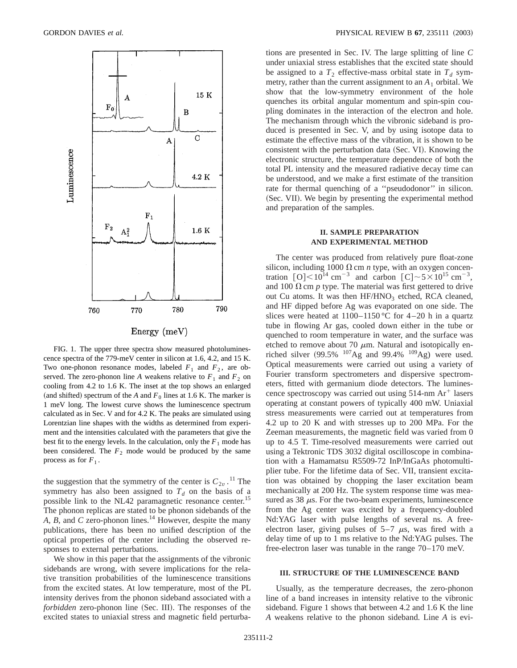

FIG. 1. The upper three spectra show measured photoluminescence spectra of the 779-meV center in silicon at 1.6, 4.2, and 15 K. Two one-phonon resonance modes, labeled  $F_1$  and  $F_2$ , are observed. The zero-phonon line *A* weakens relative to  $F_1$  and  $F_2$  on cooling from 4.2 to 1.6 K. The inset at the top shows an enlarged (and shifted) spectrum of the *A* and  $F<sub>0</sub>$  lines at 1.6 K. The marker is 1 meV long. The lowest curve shows the luminescence spectrum calculated as in Sec. V and for 4.2 K. The peaks are simulated using Lorentzian line shapes with the widths as determined from experiment and the intensities calculated with the parameters that give the best fit to the energy levels. In the calculation, only the  $F_1$  mode has been considered. The  $F_2$  mode would be produced by the same process as for  $F_1$ .

the suggestion that the symmetry of the center is  $C_{2v}$ .<sup>11</sup> The symmetry has also been assigned to  $T<sub>d</sub>$  on the basis of a possible link to the NL42 paramagnetic resonance center.<sup>15</sup> The phonon replicas are stated to be phonon sidebands of the *A, B*, and *C* zero-phonon lines.<sup>14</sup> However, despite the many publications, there has been no unified description of the optical properties of the center including the observed responses to external perturbations.

We show in this paper that the assignments of the vibronic sidebands are wrong, with severe implications for the relative transition probabilities of the luminescence transitions from the excited states. At low temperature, most of the PL intensity derives from the phonon sideband associated with a *forbidden* zero-phonon line (Sec. III). The responses of the excited states to uniaxial stress and magnetic field perturbations are presented in Sec. IV. The large splitting of line *C* under uniaxial stress establishes that the excited state should be assigned to a  $T_2$  effective-mass orbital state in  $T_d$  symmetry, rather than the current assignment to an  $A_1$  orbital. We show that the low-symmetry environment of the hole quenches its orbital angular momentum and spin-spin coupling dominates in the interaction of the electron and hole. The mechanism through which the vibronic sideband is produced is presented in Sec. V, and by using isotope data to estimate the effective mass of the vibration, it is shown to be consistent with the perturbation data (Sec. VI). Knowing the electronic structure, the temperature dependence of both the total PL intensity and the measured radiative decay time can be understood, and we make a first estimate of the transition rate for thermal quenching of a ''pseudodonor'' in silicon. (Sec. VII). We begin by presenting the experimental method and preparation of the samples.

## **II. SAMPLE PREPARATION AND EXPERIMENTAL METHOD**

The center was produced from relatively pure float-zone silicon, including 1000  $\Omega$  cm *n* type, with an oxygen concentration  $\lceil O \rceil < 10^{14}$  cm<sup>-3</sup> and carbon  $\lceil C \rceil < 5 \times 10^{15}$  cm<sup>-3</sup>, and 100  $\Omega$  cm  $p$  type. The material was first gettered to drive out Cu atoms. It was then HF/HNO<sub>3</sub> etched, RCA cleaned, and HF dipped before Ag was evaporated on one side. The slices were heated at  $1100-1150$  °C for 4–20 h in a quartz tube in flowing Ar gas, cooled down either in the tube or quenched to room temperature in water, and the surface was etched to remove about 70  $\mu$ m. Natural and isotopically enriched silver  $(99.5\% \ {}^{107}\text{Ag}$  and  $99.4\% \ {}^{109}\text{Ag})$  were used. Optical measurements were carried out using a variety of Fourier transform spectrometers and dispersive spectrometers, fitted with germanium diode detectors. The luminescence spectroscopy was carried out using  $514$ -nm Ar<sup>+</sup> lasers operating at constant powers of typically 400 mW. Uniaxial stress measurements were carried out at temperatures from 4.2 up to 20 K and with stresses up to 200 MPa. For the Zeeman measurements, the magnetic field was varied from 0 up to 4.5 T. Time-resolved measurements were carried out using a Tektronic TDS 3032 digital oscilloscope in combination with a Hamamatsu R5509-72 InP/InGaAs photomultiplier tube. For the lifetime data of Sec. VII, transient excitation was obtained by chopping the laser excitation beam mechanically at 200 Hz. The system response time was measured as  $38 \mu s$ . For the two-beam experiments, luminescence from the Ag center was excited by a frequency-doubled Nd:YAG laser with pulse lengths of several ns. A freeelectron laser, giving pulses of  $5-7 \mu s$ , was fired with a delay time of up to 1 ms relative to the Nd:YAG pulses. The free-electron laser was tunable in the range 70–170 meV.

### **III. STRUCTURE OF THE LUMINESCENCE BAND**

Usually, as the temperature decreases, the zero-phonon line of a band increases in intensity relative to the vibronic sideband. Figure 1 shows that between 4.2 and 1.6 K the line *A* weakens relative to the phonon sideband. Line *A* is evi-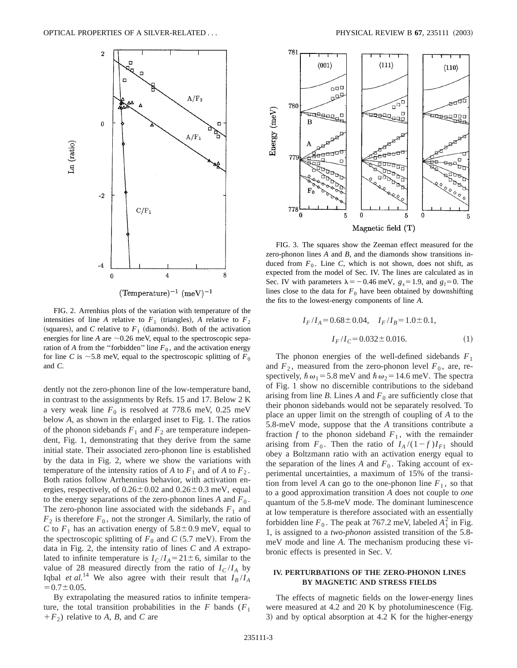

FIG. 2. Arrenhius plots of the variation with temperature of the intensities of line *A* relative to  $F_1$  (triangles), *A* relative to  $F_2$ (squares), and *C* relative to  $F_1$  (diamonds). Both of the activation energies for line  $A$  are  $\sim$  0.26 meV, equal to the spectroscopic separation of *A* from the "forbidden" line  $F_0$ , and the activation energy for line *C* is  $\sim$  5.8 meV, equal to the spectroscopic splitting of  $F_0$ and *C*.

dently not the zero-phonon line of the low-temperature band, in contrast to the assignments by Refs. 15 and 17. Below 2 K a very weak line  $F_0$  is resolved at 778.6 meV, 0.25 meV below *A*, as shown in the enlarged inset to Fig. 1. The ratios of the phonon sidebands  $F_1$  and  $F_2$  are temperature independent, Fig. 1, demonstrating that they derive from the same initial state. Their associated zero-phonon line is established by the data in Fig. 2, where we show the variations with temperature of the intensity ratios of *A* to  $F_1$  and of *A* to  $F_2$ . Both ratios follow Arrhennius behavior, with activation energies, respectively, of  $0.26 \pm 0.02$  and  $0.26 \pm 0.3$  meV, equal to the energy separations of the zero-phonon lines  $A$  and  $F_0$ . The zero-phonon line associated with the sidebands  $F_1$  and  $F_2$  is therefore  $F_0$ , not the stronger *A*. Similarly, the ratio of *C* to  $F_1$  has an activation energy of  $5.8 \pm 0.9$  meV, equal to the spectroscopic splitting of  $F_0$  and  $C$  (5.7 meV). From the data in Fig. 2, the intensity ratio of lines *C* and *A* extrapolated to infinite temperature is  $I_C/I_A = 21 \pm 6$ , similar to the value of 28 measured directly from the ratio of  $I_C/I_A$  by Iqbal *et al.*<sup>14</sup> We also agree with their result that  $I_B/I_A$  $=0.7\pm0.05$ .

By extrapolating the measured ratios to infinite temperature, the total transition probabilities in the  $F$  bands  $(F_1)$  $+F_2$ ) relative to *A*, *B*, and *C* are



FIG. 3. The squares show the Zeeman effect measured for the zero-phonon lines *A* and *B*, and the diamonds show transitions induced from  $F_0$ . Line *C*, which is not shown, does not shift, as expected from the model of Sec. IV. The lines are calculated as in Sec. IV with parameters  $\lambda = -0.46$  meV,  $g_s = 1.9$ , and  $g_l = 0$ . The lines close to the data for  $F_0$  have been obtained by downshifting the fits to the lowest-energy components of line *A*.

$$
I_F/I_A = 0.68 \pm 0.04, \quad I_F/I_B = 1.0 \pm 0.1,
$$

$$
I_F/I_C = 0.032 \pm 0.016.
$$
 (1)

The phonon energies of the well-defined sidebands  $F_1$ and  $F_2$ , measured from the zero-phonon level  $F_0$ , are, respectively,  $\hbar \omega_1 = 5.8$  meV and  $\hbar \omega_2 = 14.6$  meV. The spectra of Fig. 1 show no discernible contributions to the sideband arising from line *B*. Lines *A* and  $F_0$  are sufficiently close that their phonon sidebands would not be separately resolved. To place an upper limit on the strength of coupling of *A* to the 5.8-meV mode, suppose that the *A* transitions contribute a fraction  $f$  to the phonon sideband  $F_1$ , with the remainder arising from  $F_0$ . Then the ratio of  $I_A/(1-f)I_{F1}$  should obey a Boltzmann ratio with an activation energy equal to the separation of the lines  $A$  and  $F_0$ . Taking account of experimental uncertainties, a maximum of 15% of the transition from level *A* can go to the one-phonon line  $F_1$ , so that to a good approximation transition *A* does not couple to *one* quantum of the 5.8-meV mode. The dominant luminescence at low temperature is therefore associated with an essentially forbidden line  $F_0$ . The peak at 767.2 meV, labeled  $A_1^2$  in Fig. 1, is assigned to a *two-phonon* assisted transition of the 5.8 meV mode and line *A*. The mechanism producing these vibronic effects is presented in Sec. V.

## **IV. PERTURBATIONS OF THE ZERO-PHONON LINES BY MAGNETIC AND STRESS FIELDS**

The effects of magnetic fields on the lower-energy lines were measured at 4.2 and 20 K by photoluminescence (Fig. 3) and by optical absorption at  $4.2$  K for the higher-energy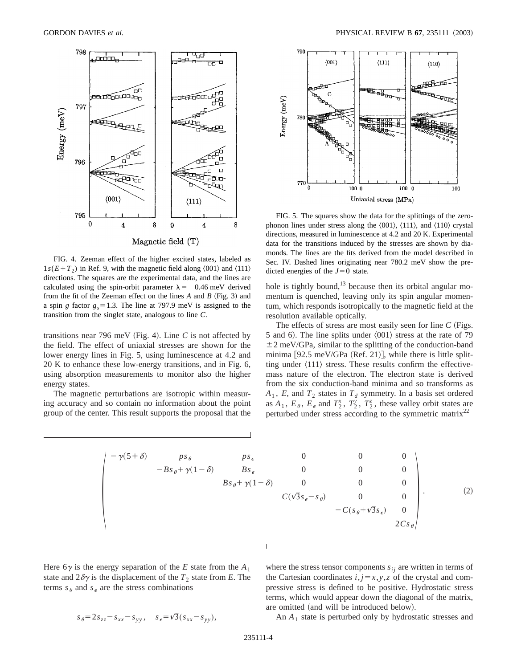

FIG. 4. Zeeman effect of the higher excited states, labeled as  $1s(E+T_2)$  in Ref. 9, with the magnetic field along  $\langle 001 \rangle$  and  $\langle 111 \rangle$ directions. The squares are the experimental data, and the lines are calculated using the spin-orbit parameter  $\lambda = -0.46$  meV derived from the fit of the Zeeman effect on the lines  $A$  and  $B$  (Fig. 3) and a spin *g* factor  $g_s = 1.3$ . The line at 797.9 meV is assigned to the transition from the singlet state, analogous to line *C*.

transitions near 796 meV (Fig. 4). Line  $C$  is not affected by the field. The effect of uniaxial stresses are shown for the lower energy lines in Fig. 5, using luminescence at 4.2 and 20 K to enhance these low-energy transitions, and in Fig. 6, using absorption measurements to monitor also the higher energy states.

The magnetic perturbations are isotropic within measuring accuracy and so contain no information about the point group of the center. This result supports the proposal that the



FIG. 5. The squares show the data for the splittings of the zerophonon lines under stress along the  $\langle 001 \rangle$ ,  $\langle 111 \rangle$ , and  $\langle 110 \rangle$  crystal directions, measured in luminescence at 4.2 and 20 K. Experimental data for the transitions induced by the stresses are shown by diamonds. The lines are the fits derived from the model described in Sec. IV. Dashed lines originating near 780.2 meV show the predicted energies of the  $J=0$  state.

hole is tightly bound,<sup>13</sup> because then its orbital angular momentum is quenched, leaving only its spin angular momentum, which responds isotropically to the magnetic field at the resolution available optically.

The effects of stress are most easily seen for line  $C$  (Figs. 5 and 6). The line splits under  $\langle 001 \rangle$  stress at the rate of 79  $\pm$  2 meV/GPa, similar to the splitting of the conduction-band minima  $[92.5 \text{ meV/GPa}$  (Ref. 21)], while there is little splitting under  $\langle 111 \rangle$  stress. These results confirm the effectivemass nature of the electron. The electron state is derived from the six conduction-band minima and so transforms as  $A_1$ , *E*, and  $T_2$  states in  $T_d$  symmetry. In a basis set ordered as  $A_1$ ,  $E_\theta$ ,  $E_\epsilon$  and  $T_2^x$ ,  $T_2^y$ ,  $T_2^z$ , these valley orbit states are perturbed under stress according to the symmetric matrix<sup>22</sup>

$$
\begin{pmatrix}\n-\gamma(5+\delta) & ps_{\theta} & ps_{\epsilon} & 0 & 0 & 0 \\
-Bs_{\theta} + \gamma(1-\delta) & Bs_{\epsilon} & 0 & 0 & 0 \\
Bs_{\theta} + \gamma(1-\delta) & 0 & 0 & 0 \\
C(\sqrt{3}s_{\epsilon} - s_{\theta}) & 0 & 0 \\
-C(s_{\theta} + \sqrt{3}s_{\epsilon}) & 0 \\
2Cs_{\theta}\n\end{pmatrix}.
$$
\n(2)

Here  $6\gamma$  is the energy separation of the *E* state from the  $A_1$ state and  $2\delta\gamma$  is the displacement of the  $T_2$  state from *E*. The terms  $s_{\theta}$  and  $s_{\epsilon}$  are the stress combinations

where the stress tensor components  $s_{ij}$  are written in terms of the Cartesian coordinates  $i, j=x, y, z$  of the crystal and compressive stress is defined to be positive. Hydrostatic stress terms, which would appear down the diagonal of the matrix, are omitted (and will be introduced below).

$$
s_{\theta} = 2s_{zz} - s_{xx} - s_{yy}, \quad s_{\epsilon} = \sqrt{3}(s_{xx} - s_{yy}),
$$

An *A*<sup>1</sup> state is perturbed only by hydrostatic stresses and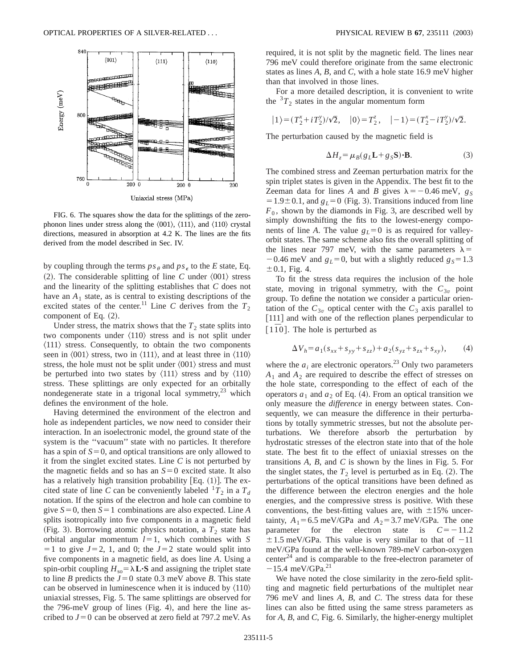

FIG. 6. The squares show the data for the splittings of the zerophonon lines under stress along the  $\langle 001 \rangle$ ,  $\langle 111 \rangle$ , and  $\langle 110 \rangle$  crystal directions, measured in absorption at 4.2 K. The lines are the fits derived from the model described in Sec. IV.

by coupling through the terms  $ps_{\theta}$  and  $ps_{\epsilon}$  to the *E* state, Eq.  $(2)$ . The considerable splitting of line *C* under  $\langle 001 \rangle$  stress and the linearity of the splitting establishes that *C* does not have an  $A_1$  state, as is central to existing descriptions of the excited states of the center.<sup>11</sup> Line *C* derives from the  $T_2$ component of Eq.  $(2)$ .

Under stress, the matrix shows that the  $T_2$  state splits into two components under  $\langle 110 \rangle$  stress and is not split under  $\langle 111 \rangle$  stress. Consequently, to obtain the two components seen in  $\langle 001 \rangle$  stress, two in  $\langle 111 \rangle$ , and at least three in  $\langle 110 \rangle$ stress, the hole must not be split under  $\langle 001 \rangle$  stress and must be perturbed into two states by  $\langle 111 \rangle$  stress and by  $\langle 110 \rangle$ stress. These splittings are only expected for an orbitally nondegenerate state in a trigonal local symmetry, $^{23}$  which defines the environment of the hole.

Having determined the environment of the electron and hole as independent particles, we now need to consider their interaction. In an isoelectronic model, the ground state of the system is the ''vacuum'' state with no particles. It therefore has a spin of  $S=0$ , and optical transitions are only allowed to it from the singlet excited states. Line *C* is not perturbed by the magnetic fields and so has an  $S=0$  excited state. It also has a relatively high transition probability  $[Eq. (1)]$ . The excited state of line *C* can be conveniently labeled  ${}^{1}T_2$  in a  $T_d$ notation. If the spins of the electron and hole can combine to give  $S=0$ , then  $S=1$  combinations are also expected. Line *A* splits isotropically into five components in a magnetic field (Fig. 3). Borrowing atomic physics notation, a  $T_2$  state has orbital angular momentum  $l=1$ , which combines with *S*  $=$  1 to give  $J=2$ , 1, and 0; the  $J=2$  state would split into five components in a magnetic field, as does line *A*. Using a spin-orbit coupling  $H_{so} = \lambda \mathbf{L} \cdot \mathbf{S}$  and assigning the triplet state to line *B* predicts the  $J=0$  state 0.3 meV above *B*. This state can be observed in luminescence when it is induced by  $\langle 110 \rangle$ uniaxial stresses, Fig. 5. The same splittings are observed for the  $796$ -meV group of lines (Fig. 4), and here the line ascribed to  $J=0$  can be observed at zero field at 797.2 meV. As required, it is not split by the magnetic field. The lines near 796 meV could therefore originate from the same electronic states as lines *A, B*, and *C*, with a hole state 16.9 meV higher than that involved in those lines.

For a more detailed description, it is convenient to write the  ${}^{3}T_2$  states in the angular momentum form

$$
|1\rangle = (T_2^x + iT_2^y)/\sqrt{2}, \quad |0\rangle = T_2^z, \quad |-1\rangle = (T_2^x - iT_2^y)/\sqrt{2}.
$$

The perturbation caused by the magnetic field is

$$
\Delta H_z = \mu_B (g_L \mathbf{L} + g_S \mathbf{S}) \cdot \mathbf{B}.
$$
 (3)

The combined stress and Zeeman perturbation matrix for the spin triplet states is given in the Appendix. The best fit to the Zeeman data for lines *A* and *B* gives  $\lambda = -0.46$  meV, *g<sub>S</sub>*  $=1.9\pm0.1$ , and  $g<sub>L</sub>=0$  (Fig. 3). Transitions induced from line  $F_0$ , shown by the diamonds in Fig. 3, are described well by simply downshifting the fits to the lowest-energy components of line *A*. The value  $g_L=0$  is as required for valleyorbit states. The same scheme also fits the overall splitting of the lines near 797 meV, with the same parameters  $\lambda$  =  $-0.46$  meV and  $g<sub>L</sub>=0$ , but with a slightly reduced  $g<sub>S</sub>=1.3$  $\pm 0.1$ , Fig. 4.

To fit the stress data requires the inclusion of the hole state, moving in trigonal symmetry, with the  $C_{3v}$  point group. To define the notation we consider a particular orientation of the  $C_{3v}$  optical center with the  $C_3$  axis parallel to [111] and with one of the reflection planes perpendicular to  $\lceil 1\overline{1}0\rceil$ . The hole is perturbed as

$$
\Delta V_h = a_1 (s_{xx} + s_{yy} + s_{zz}) + a_2 (s_{yz} + s_{zx} + s_{xy}), \tag{4}
$$

where the  $a_i$  are electronic operators.<sup>23</sup> Only two parameters  $A_1$  and  $A_2$  are required to describe the effect of stresses on the hole state, corresponding to the effect of each of the operators  $a_1$  and  $a_2$  of Eq. (4). From an optical transition we only measure the *difference* in energy between states. Consequently, we can measure the difference in their perturbations by totally symmetric stresses, but not the absolute perturbations. We therefore absorb the perturbation by hydrostatic stresses of the electron state into that of the hole state. The best fit to the effect of uniaxial stresses on the transitions *A, B*, and *C* is shown by the lines in Fig. 5. For the singlet states, the  $T_2$  level is perturbed as in Eq.  $(2)$ . The perturbations of the optical transitions have been defined as the difference between the electron energies and the hole energies, and the compressive stress is positive. With these conventions, the best-fitting values are, with  $\pm 15\%$  uncertainty,  $A_1 = 6.5$  meV/GPa and  $A_2 = 3.7$  meV/GPa. The one parameter for the electron state is  $C=-11.2$  $\pm$ 1.5 meV/GPa. This value is very similar to that of  $-11$ meV/GPa found at the well-known 789-meV carbon-oxygen center<sup>24</sup> and is comparable to the free-electron parameter of  $-15.4$  meV/GPa.<sup>21</sup>

We have noted the close similarity in the zero-field splitting and magnetic field perturbations of the multiplet near 796 meV and lines *A, B*, and *C*. The stress data for these lines can also be fitted using the same stress parameters as for *A, B*, and *C*, Fig. 6. Similarly, the higher-energy multiplet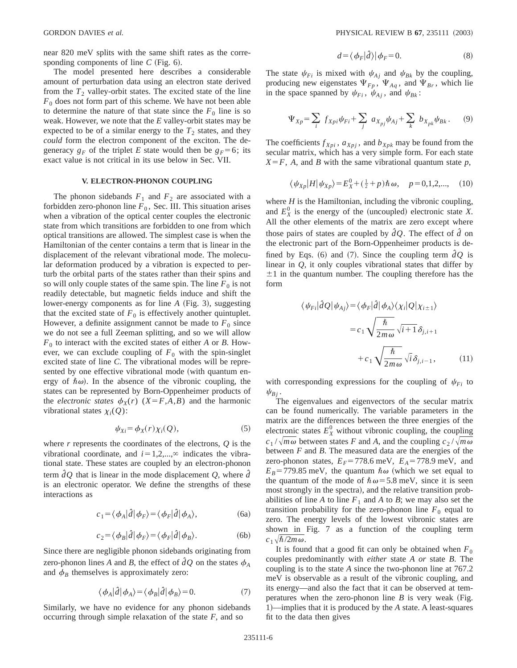near 820 meV splits with the same shift rates as the corresponding components of line  $C$  (Fig. 6).

The model presented here describes a considerable amount of perturbation data using an electron state derived from the  $T_2$  valley-orbit states. The excited state of the line  $F<sub>0</sub>$  does not form part of this scheme. We have not been able to determine the nature of that state since the  $F_0$  line is so weak. However, we note that the *E* valley-orbit states may be expected to be of a similar energy to the  $T_2$  states, and they *could* form the electron component of the exciton. The degeneracy  $g_F$  of the triplet *E* state would then be  $g_F = 6$ ; its exact value is not critical in its use below in Sec. VII.

### **V. ELECTRON-PHONON COUPLING**

The phonon sidebands  $F_1$  and  $F_2$  are associated with a forbidden zero-phonon line  $F_0$ , Sec. III. This situation arises when a vibration of the optical center couples the electronic state from which transitions are forbidden to one from which optical transitions are allowed. The simplest case is when the Hamiltonian of the center contains a term that is linear in the displacement of the relevant vibrational mode. The molecular deformation produced by a vibration is expected to perturb the orbital parts of the states rather than their spins and so will only couple states of the same spin. The line  $F_0$  is not readily detectable, but magnetic fields induce and shift the lower-energy components as for line *A* (Fig. 3), suggesting that the excited state of  $F_0$  is effectively another quintuplet. However, a definite assignment cannot be made to  $F_0$  since we do not see a full Zeeman splitting, and so we will allow  $F_0$  to interact with the excited states of either *A* or *B*. However, we can exclude coupling of  $F_0$  with the spin-singlet excited state of line *C*. The vibrational modes will be represented by one effective vibrational mode (with quantum energy of  $\hbar \omega$ ). In the absence of the vibronic coupling, the states can be represented by Born-Oppenheimer products of the *electronic states*  $\phi_X(r)$  (*X*=*F*,*A*,*B*) and the harmonic vibrational states  $\chi_i(Q)$ :

$$
\psi_{Xi} = \phi_X(r) \chi_i(Q), \tag{5}
$$

where *r* represents the coordinates of the electrons, *Q* is the vibrational coordinate, and  $i=1,2,...,$ <sup> $\infty$ </sup> indicates the vibrational state. These states are coupled by an electron-phonon term  $\partial Q$  that is linear in the mode displacement  $Q$ , where  $\partial \overline{Q}$ is an electronic operator. We define the strengths of these interactions as

$$
c_1 = \langle \phi_A | \hat{d} | \phi_F \rangle = \langle \phi_F | \hat{d} | \phi_A \rangle, \tag{6a}
$$

$$
c_2 = \langle \phi_B | \hat{d} | \phi_F \rangle = \langle \phi_F | \hat{d} | \phi_B \rangle. \tag{6b}
$$

Since there are negligible phonon sidebands originating from zero-phonon lines *A* and *B*, the effect of  $dQ$  on the states  $\phi_A$ and  $\phi_B$  themselves is approximately zero:

$$
\langle \phi_A | \hat{d} | \phi_A \rangle = \langle \phi_B | \hat{d} | \phi_B \rangle = 0. \tag{7}
$$

Similarly, we have no evidence for any phonon sidebands occurring through simple relaxation of the state *F*, and so

$$
d = \langle \phi_F | \hat{d} \rangle | \phi_F = 0. \tag{8}
$$

The state  $\psi_{Fi}$  is mixed with  $\psi_{Ai}$  and  $\psi_{Bk}$  by the coupling, producing new eigenstates  $\Psi_{F_p}$ ,  $\Psi_{Aq}$ , and  $\Psi_{Br}$ , which lie in the space spanned by  $\psi_{Fi}$ ,  $\psi_{Ai}$ , and  $\psi_{Bk}$ :

$$
\Psi_{Xp} = \sum_{i} f_{Xpi} \psi_{Fi} + \sum_{j} a_{X_{pj}} \psi_{Aj} + \sum_{k} b_{X_{pk}} \psi_{Bk}.
$$
 (9)

The coefficients  $f_{Xpi}$ ,  $a_{Xpi}$ , and  $b_{Xpk}$  may be found from the secular matrix, which has a very simple form. For each state  $X = F$ , *A*, and *B* with the same vibrational quantum state *p*,

$$
\langle \psi_{Xp} | H | \psi_{Xp} \rangle = E_X^0 + (\frac{1}{2} + p) \hbar \omega, \quad p = 0, 1, 2, \dots, \quad (10)
$$

where *H* is the Hamiltonian, including the vibronic coupling, and  $E_X^0$  is the energy of the (uncoupled) electronic state *X*. All the other elements of the matrix are zero except where those pairs of states are coupled by  $\partial O$ . The effect of  $\partial O$  on the electronic part of the Born-Oppenheimer products is defined by Eqs. (6) and (7). Since the coupling term  $\partial Q$  is linear in *Q*, it only couples vibrational states that differ by  $\pm 1$  in the quantum number. The coupling therefore has the form

$$
\langle \psi_{Fi} | \hat{d}Q | \psi_{Aj} \rangle = \langle \phi_F | \hat{d} | \phi_A \rangle \langle \chi_i | Q | \chi_{i \pm 1} \rangle
$$

$$
= c_1 \sqrt{\frac{\hbar}{2m\omega}} \sqrt{i+1} \delta_{j,i+1}
$$

$$
+ c_1 \sqrt{\frac{\hbar}{2m\omega}} \sqrt{i} \delta_{j,i-1}, \qquad (11)
$$

with corresponding expressions for the coupling of  $\psi_{Fi}$  to  $\psi_{Bj}$ .

The eigenvalues and eigenvectors of the secular matrix can be found numerically. The variable parameters in the matrix are the differences between the three energies of the electronic states  $E_X^0$  without vibronic coupling, the coupling  $c_1 / \sqrt{m \omega}$  between states *F* and *A*, and the coupling  $c_2 / \sqrt{m \omega}$ between *F* and *B*. The measured data are the energies of the zero-phonon states,  $E_F$ =778.6 meV,  $E_A$ =778.9 meV, and  $E_B$ =779.85 meV, the quantum  $\hbar \omega$  (which we set equal to the quantum of the mode of  $\hbar \omega = 5.8$  meV, since it is seen most strongly in the spectra), and the relative transition probabilities of line *A* to line  $F_1$  and *A* to *B*; we may also set the transition probability for the zero-phonon line  $F_0$  equal to zero. The energy levels of the lowest vibronic states are shown in Fig. 7 as a function of the coupling term  $c_1\sqrt{\hbar/2m\omega}$ .

It is found that a good fit can only be obtained when  $F_0$ couples predominantly with *either* state *A or* state *B*. The coupling is to the state *A* since the two-phonon line at 767.2 meV is observable as a result of the vibronic coupling, and its energy—and also the fact that it can be observed at temperatures when the zero-phonon line  $B$  is very weak (Fig. 1)—implies that it is produced by the *A* state. A least-squares fit to the data then gives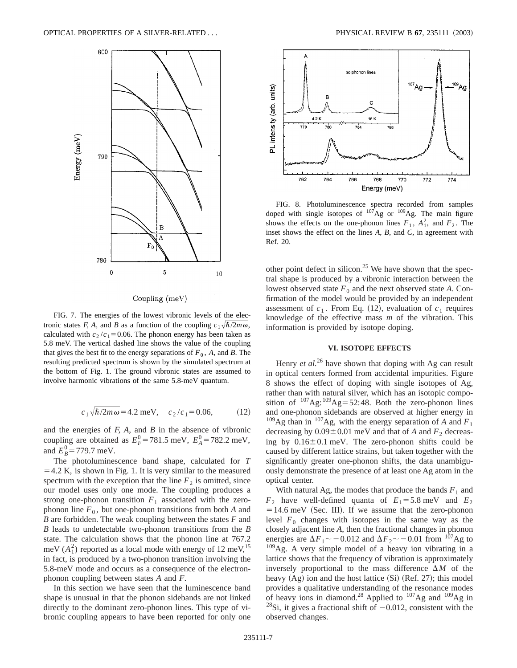

Coupling (meV)

FIG. 7. The energies of the lowest vibronic levels of the electronic states *F, A*, and *B* as a function of the coupling  $c_1\sqrt{\hbar/2m\omega}$ , calculated with  $c_2/c_1=0.06$ . The phonon energy has been taken as 5.8 meV. The vertical dashed line shows the value of the coupling that gives the best fit to the energy separations of  $F_0$ ,  $A$ , and  $B$ . The resulting predicted spectrum is shown by the simulated spectrum at the bottom of Fig. 1. The ground vibronic states are assumed to involve harmonic vibrations of the same 5.8-meV quantum.

$$
c_1 \sqrt{\hbar/2m\omega}
$$
 = 4.2 meV,  $c_2/c_1$  = 0.06, (12)

and the energies of *F, A*, and *B* in the absence of vibronic coupling are obtained as  $E_F^0 = 781.5$  meV,  $E_A^0 = 782.2$  meV, and  $E_B^0 = 779.7 \text{ meV}.$ 

The photoluminescence band shape, calculated for *T*  $=4.2$  K, is shown in Fig. 1. It is very similar to the measured spectrum with the exception that the line  $F_2$  is omitted, since our model uses only one mode. The coupling produces a strong one-phonon transition  $F_1$  associated with the zerophonon line  $F_0$ , but one-phonon transitions from both *A* and *B* are forbidden. The weak coupling between the states *F* and *B* leads to undetectable two-phonon transitions from the *B* state. The calculation shows that the phonon line at 767.2 meV  $(A_1^2)$  reported as a local mode with energy of 12 meV,<sup>15</sup> in fact, is produced by a two-phonon transition involving the 5.8-meV mode and occurs as a consequence of the electronphonon coupling between states *A* and *F*.

In this section we have seen that the luminescence band shape is unusual in that the phonon sidebands are not linked directly to the dominant zero-phonon lines. This type of vibronic coupling appears to have been reported for only one



FIG. 8. Photoluminescence spectra recorded from samples doped with single isotopes of  $107$ Ag or  $109$ Ag. The main figure shows the effects on the one-phonon lines  $F_1$ ,  $A_1^2$ , and  $F_2$ . The inset shows the effect on the lines *A, B*, and *C*, in agreement with Ref. 20.

other point defect in silicon.<sup>25</sup> We have shown that the spectral shape is produced by a vibronic interaction between the lowest observed state  $F_0$  and the next observed state A. Confirmation of the model would be provided by an independent assessment of  $c_1$ . From Eq. (12), evaluation of  $c_1$  requires knowledge of the effective mass *m* of the vibration. This information is provided by isotope doping.

## **VI. ISOTOPE EFFECTS**

Henry *et al.*<sup>26</sup> have shown that doping with Ag can result in optical centers formed from accidental impurities. Figure 8 shows the effect of doping with single isotopes of Ag, rather than with natural silver, which has an isotopic composition of  $^{107}$ Ag: $^{109}$ Ag=52:48. Both the zero-phonon lines and one-phonon sidebands are observed at higher energy in <sup>109</sup>Ag than in <sup>107</sup>Ag, with the energy separation of *A* and  $F_1$ decreasing by  $0.09 \pm 0.01$  meV and that of *A* and  $F_2$  decreasing by  $0.16 \pm 0.1$  meV. The zero-phonon shifts could be caused by different lattice strains, but taken together with the significantly greater one-phonon shifts, the data unambiguously demonstrate the presence of at least one Ag atom in the optical center.

With natural Ag, the modes that produce the bands  $F_1$  and  $F_2$  have well-defined quanta of  $E_1 = 5.8$  meV and  $E_2$  $=14.6$  meV (Sec. III). If we assume that the zero-phonon level  $F_0$  changes with isotopes in the same way as the closely adjacent line *A*, then the fractional changes in phonon energies are  $\Delta F_1 \sim -0.012$  and  $\Delta F_2 \sim -0.01$  from <sup>107</sup>Ag to  $109$ Ag. A very simple model of a heavy ion vibrating in a lattice shows that the frequency of vibration is approximately inversely proportional to the mass difference  $\Delta M$  of the heavy  $(Ag)$  ion and the host lattice  $(Si)$   $(Ref. 27)$ ; this model provides a qualitative understanding of the resonance modes of heavy ions in diamond.<sup>28</sup> Applied to <sup>107</sup>Ag and <sup>109</sup>Ag in <sup>28</sup>Si, it gives a fractional shift of  $-0.012$ , consistent with the observed changes.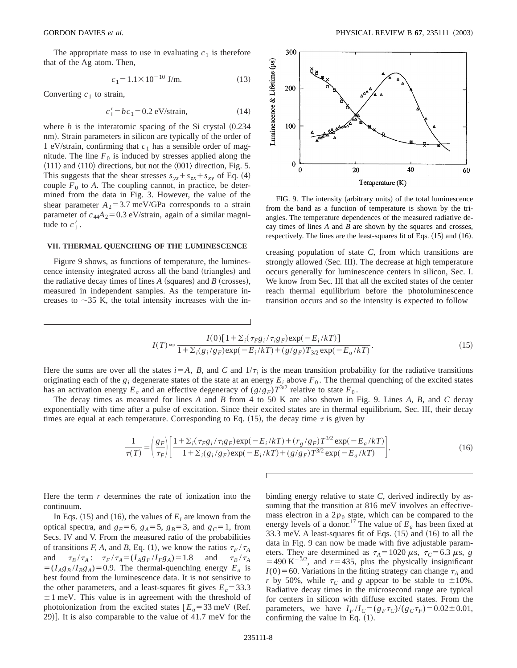The appropriate mass to use in evaluating  $c_1$  is therefore that of the Ag atom. Then,

$$
c_1 = 1.1 \times 10^{-10} \text{ J/m.}
$$
 (13)

Converting  $c_1$  to strain,

$$
c_1' = bc_1 = 0.2 \text{ eV/strain}, \tag{14}
$$

where  $b$  is the interatomic spacing of the Si crystal  $(0.234)$ nm). Strain parameters in silicon are typically of the order of 1 eV/strain, confirming that  $c_1$  has a sensible order of magnitude. The line  $F_0$  is induced by stresses applied along the  $\langle 111 \rangle$  and  $\langle 110 \rangle$  directions, but not the  $\langle 001 \rangle$  direction, Fig. 5. This suggests that the shear stresses  $s_{yz} + s_{zx} + s_{xy}$  of Eq. (4) couple  $F_0$  to *A*. The coupling cannot, in practice, be determined from the data in Fig. 3. However, the value of the shear parameter  $A_2 = 3.7$  meV/GPa corresponds to a strain parameter of  $c_{44}A_2=0.3$  eV/strain, again of a similar magnitude to  $c'_1$ .

#### **VII. THERMAL QUENCHING OF THE LUMINESCENCE**

Figure 9 shows, as functions of temperature, the luminescence intensity integrated across all the band (triangles) and the radiative decay times of lines  $A$  (squares) and  $B$  (crosses), measured in independent samples. As the temperature increases to  $\sim$ 35 K, the total intensity increases with the in-



FIG. 9. The intensity (arbitrary units) of the total luminescence from the band as a function of temperature is shown by the triangles. The temperature dependences of the measured radiative decay times of lines *A* and *B* are shown by the squares and crosses, respectively. The lines are the least-squares fit of Eqs.  $(15)$  and  $(16)$ .

creasing population of state *C*, from which transitions are strongly allowed (Sec. III). The decrease at high temperature occurs generally for luminescence centers in silicon, Sec. I. We know from Sec. III that all the excited states of the center reach thermal equilibrium before the photoluminescence transition occurs and so the intensity is expected to follow

$$
I(T) \approx \frac{I(0)[1+\sum_{i}(\tau_{F}g_{i}/\tau_{i}g_{F})\exp(-E_{i}/kT)]}{1+\sum_{i}(g_{i}/g_{F})\exp(-E_{i}/kT)+ (g/g_{F})T_{3/2}\exp(-E_{a}/kT)}.
$$
\n(15)

Here the sums are over all the states  $i=A$ ,  $B$ , and  $C$  and  $1/\tau_i$  is the mean transition probability for the radiative transitions originating each of the  $g_i$  degenerate states of the state at an energy  $E_i$  above  $F_0$ . The thermal quenching of the excited states has an activation energy  $E_a$  and an effective degeneracy of  $(g/g_F)T^{3/2}$  relative to state  $F_0$ .

 $\overline{\phantom{a}}$ 

The decay times as measured for lines *A* and *B* from 4 to 50 K are also shown in Fig. 9. Lines *A, B*, and *C* decay exponentially with time after a pulse of excitation. Since their excited states are in thermal equilibrium, Sec. III, their decay times are equal at each temperature. Corresponding to Eq.  $(15)$ , the decay time  $\tau$  is given by

$$
\frac{1}{\tau(T)} = \left(\frac{g_F}{\tau_F}\right) \left[\frac{1 + \sum_i (\tau_F g_i / \tau_i g_F) \exp(-E_i / kT) + (r_g / g_F) T^{3/2} \exp(-E_a / kT)}{1 + \sum_i (g_i / g_F) \exp(-E_i / kT) + (g / g_F) T^{3/2} \exp(-E_a / kT)}\right].
$$
\n(16)

Here the term *r* determines the rate of ionization into the continuum.

In Eqs.  $(15)$  and  $(16)$ , the values of  $E_i$  are known from the optical spectra, and  $g_F=6$ ,  $g_A=5$ ,  $g_B=3$ , and  $g_C=1$ , from Secs. IV and V. From the measured ratio of the probabilities of transitions *F*, *A*, and *B*, Eq. (1), we know the ratios  $\tau_F / \tau_A$ and  $\tau_B / \tau_A$ :  $\tau_F / \tau_A = (I_A g_F / I_F g_A) = 1.8$  and  $\tau_B / \tau_A$  $=(I_{A}g_{B}/I_{B}g_{A})=0.9$ . The thermal-quenching energy  $E_{a}$  is best found from the luminescence data. It is not sensitive to the other parameters, and a least-squares fit gives  $E_a = 33.3$  $\pm$ 1 meV. This value is in agreement with the threshold of photoionization from the excited states  $E_a = 33$  meV (Ref.) 29)]. It is also comparable to the value of  $41.7 \text{ meV}$  for the binding energy relative to state *C*, derived indirectly by assuming that the transition at 816 meV involves an effectivemass electron in a  $2p_0$  state, which can be compared to the energy levels of a donor.<sup>17</sup> The value of  $E_a$  has been fixed at 33.3 meV. A least-squares fit of Eqs.  $(15)$  and  $(16)$  to all the data in Fig. 9 can now be made with five adjustable parameters. They are determined as  $\tau_A = 1020 \mu s$ ,  $\tau_C = 6.3 \mu s$ , *g*  $=$  490 K<sup>-3/2</sup>, and *r*=435, plus the physically insignificant  $I(0) = 60$ . Variations in the fitting strategy can change  $\tau_A$  and *r* by 50%, while  $\tau_c$  and *g* appear to be stable to  $\pm 10\%$ . Radiative decay times in the microsecond range are typical for centers in silicon with diffuse excited states. From the parameters, we have  $I_F/I_C = (g_F \tau_C)/(g_C \tau_F) = 0.02 \pm 0.01$ , confirming the value in Eq.  $(1)$ .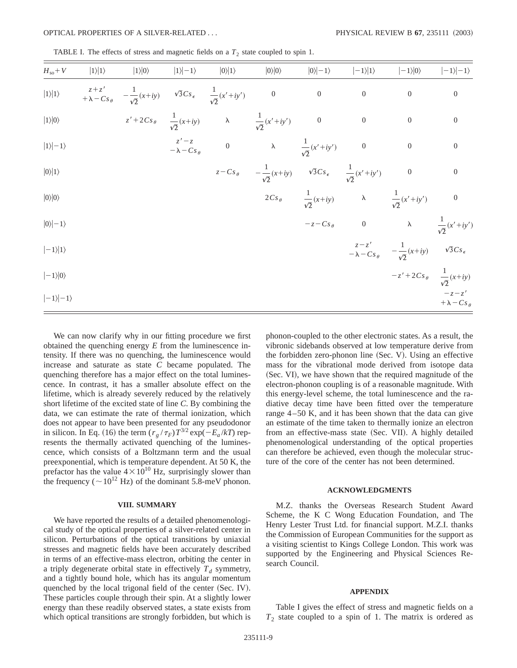TABLE I. The effects of stress and magnetic fields on a  $T_2$  state coupled to spin 1.

| $H_{\rm so}+V$         | $ 1\rangle 1\rangle$ | $ 1\rangle 0\rangle$                                                                                                      | $ 1\rangle -1\rangle$ | $ 0\rangle 1\rangle$ | $ 0\rangle 0\rangle$                                                                                 | $ 0\rangle  -1\rangle$ | $ -1\rangle 1\rangle$ | $ -1\rangle 0\rangle$                                                                   | $ -1\rangle   -1\rangle$ |
|------------------------|----------------------|---------------------------------------------------------------------------------------------------------------------------|-----------------------|----------------------|------------------------------------------------------------------------------------------------------|------------------------|-----------------------|-----------------------------------------------------------------------------------------|--------------------------|
| $ 1\rangle 1\rangle$   |                      | $z + z'$<br>+ $\lambda - Cs_{\theta}$ - $\frac{1}{\sqrt{2}}(x+iy)$ $\sqrt{3}Cs_{\epsilon}$ $\frac{1}{\sqrt{2}}(x'+iy')$ 0 |                       |                      |                                                                                                      | $\overline{0}$         | $\overline{0}$        | $\boldsymbol{0}$                                                                        | $\boldsymbol{0}$         |
| $ 1\rangle 0\rangle$   |                      |                                                                                                                           |                       |                      | $z' + 2Cs_{\theta}$ $\frac{1}{\sqrt{2}}(x+iy)$ $\lambda$ $\frac{1}{\sqrt{2}}(x'+iy')$ 0              |                        | $\overline{0}$        | $\boldsymbol{0}$                                                                        | $\boldsymbol{0}$         |
| $ 1\rangle -1\rangle$  |                      |                                                                                                                           |                       |                      | $z'-z$<br>$-\lambda-Cs_{\theta}$ 0 $\lambda$ $\frac{1}{\sqrt{2}}(x'+iy')$ 0                          |                        |                       | $\overline{0}$                                                                          | $\boldsymbol{0}$         |
| $ 0\rangle 1\rangle$   |                      |                                                                                                                           |                       |                      | $z - Cs_{\theta}$ $-\frac{1}{\sqrt{2}}(x+iy)$ $\sqrt{3}Cs_{\epsilon}$ $\frac{1}{\sqrt{2}}(x'+iy')$ 0 |                        |                       |                                                                                         | $\overline{0}$           |
| $ 0\rangle 0\rangle$   |                      |                                                                                                                           |                       |                      |                                                                                                      |                        |                       | $2Cs_{\theta}$ $\frac{1}{\sqrt{2}}(x+iy)$ $\lambda$ $\frac{1}{\sqrt{2}}(x'+iy')$ 0      |                          |
| $ 0\rangle  -1\rangle$ |                      |                                                                                                                           |                       |                      |                                                                                                      |                        |                       | $-z-Cs_{\theta}$ 0 $\lambda$ $\frac{1}{\sqrt{2}}(x'+iy')$                               |                          |
| $ -1\rangle 1\rangle$  |                      |                                                                                                                           |                       |                      |                                                                                                      |                        |                       | $\frac{z-z'}{-\lambda-Cs_{\theta}}$ $-\frac{1}{\sqrt{2}}(x+iy)$ $\sqrt{3}Cs_{\epsilon}$ |                          |
| $ -1\rangle 0\rangle$  |                      |                                                                                                                           |                       |                      |                                                                                                      |                        |                       | $-z'+2Cs_{\theta}$ $\frac{1}{\sqrt{2}}(x+iy)$                                           |                          |
| $ -1\rangle -1\rangle$ |                      |                                                                                                                           |                       |                      |                                                                                                      |                        |                       |                                                                                         | $+\lambda - Cs_{\theta}$ |

We can now clarify why in our fitting procedure we first obtained the quenching energy *E* from the luminescence intensity. If there was no quenching, the luminescence would increase and saturate as state *C* became populated. The quenching therefore has a major effect on the total luminescence. In contrast, it has a smaller absolute effect on the lifetime, which is already severely reduced by the relatively short lifetime of the excited state of line *C*. By combining the data, we can estimate the rate of thermal ionization, which does not appear to have been presented for any pseudodonor in silicon. In Eq. (16) the term  $(r_g / \tau_F) T^{3/2} \exp(-E_a / kT)$  represents the thermally activated quenching of the luminescence, which consists of a Boltzmann term and the usual preexponential, which is temperature dependent. At 50 K, the prefactor has the value  $4\times10^{10}$  Hz, surprisingly slower than the frequency ( $\sim 10^{12}$  Hz) of the dominant 5.8-meV phonon.

#### **VIII. SUMMARY**

We have reported the results of a detailed phenomenological study of the optical properties of a silver-related center in silicon. Perturbations of the optical transitions by uniaxial stresses and magnetic fields have been accurately described in terms of an effective-mass electron, orbiting the center in a triply degenerate orbital state in effectively  $T_d$  symmetry, and a tightly bound hole, which has its angular momentum quenched by the local trigonal field of the center (Sec. IV). These particles couple through their spin. At a slightly lower energy than these readily observed states, a state exists from which optical transitions are strongly forbidden, but which is phonon-coupled to the other electronic states. As a result, the vibronic sidebands observed at low temperature derive from the forbidden zero-phonon line  $(Sec. V)$ . Using an effective mass for the vibrational mode derived from isotope data (Sec. VI), we have shown that the required magnitude of the electron-phonon coupling is of a reasonable magnitude. With this energy-level scheme, the total luminescence and the radiative decay time have been fitted over the temperature range 4–50 K, and it has been shown that the data can give an estimate of the time taken to thermally ionize an electron from an effective-mass state (Sec. VII). A highly detailed phenomenological understanding of the optical properties can therefore be achieved, even though the molecular structure of the core of the center has not been determined.

#### **ACKNOWLEDGMENTS**

M.Z. thanks the Overseas Research Student Award Scheme, the K C Wong Education Foundation, and The Henry Lester Trust Ltd. for financial support. M.Z.I. thanks the Commission of European Communities for the support as a visiting scientist to Kings College London. This work was supported by the Engineering and Physical Sciences Research Council.

#### **APPENDIX**

Table I gives the effect of stress and magnetic fields on a  $T_2$  state coupled to a spin of 1. The matrix is ordered as